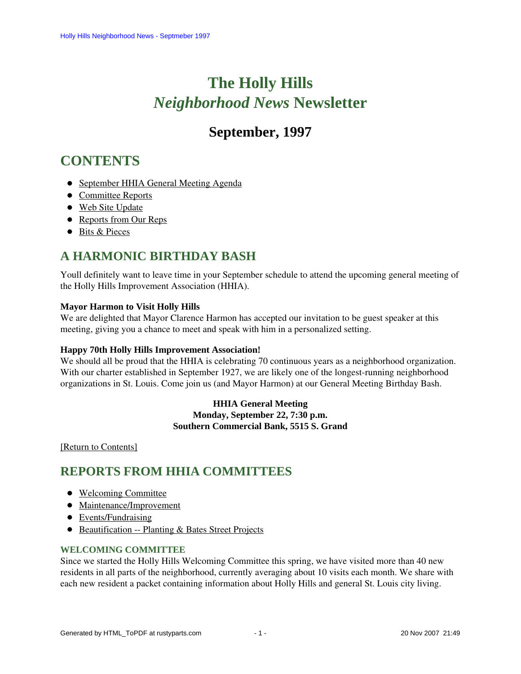# **The Holly Hills**  *Neighborhood News* **Newsletter**

## **September, 1997**

## <span id="page-0-2"></span>**CONTENTS**

- [September HHIA General Meeting Agenda](#page-0-0)
- [Committee Reports](#page-0-1)
- [Web Site Update](#page-2-0)
- [Reports from Our Reps](#page-2-1)
- [Bits & Pieces](#page-3-0)

## <span id="page-0-0"></span>**A HARMONIC BIRTHDAY BASH**

Youll definitely want to leave time in your September schedule to attend the upcoming general meeting of the Holly Hills Improvement Association (HHIA).

### **Mayor Harmon to Visit Holly Hills**

We are delighted that Mayor Clarence Harmon has accepted our invitation to be guest speaker at this meeting, giving you a chance to meet and speak with him in a personalized setting.

### **Happy 70th Holly Hills Improvement Association!**

We should all be proud that the HHIA is celebrating 70 continuous years as a neighborhood organization. With our charter established in September 1927, we are likely one of the longest-running neighborhood organizations in St. Louis. Come join us (and Mayor Harmon) at our General Meeting Birthday Bash.

> **HHIA General Meeting Monday, September 22, 7:30 p.m. Southern Commercial Bank, 5515 S. Grand**

<span id="page-0-1"></span>[\[Return to Contents\]](#page-0-2)

### <span id="page-0-4"></span>**REPORTS FROM HHIA COMMITTEES**

- [Welcoming Committee](#page-0-3)
- [Maintenance/Improvement](#page-1-0)
- [Events/Fundraising](#page-1-1)
- [Beautification -- Planting & Bates Street Projects](#page-1-2)

### <span id="page-0-3"></span>**WELCOMING COMMITTEE**

Since we started the Holly Hills Welcoming Committee this spring, we have visited more than 40 new residents in all parts of the neighborhood, currently averaging about 10 visits each month. We share with each new resident a packet containing information about Holly Hills and general St. Louis city living.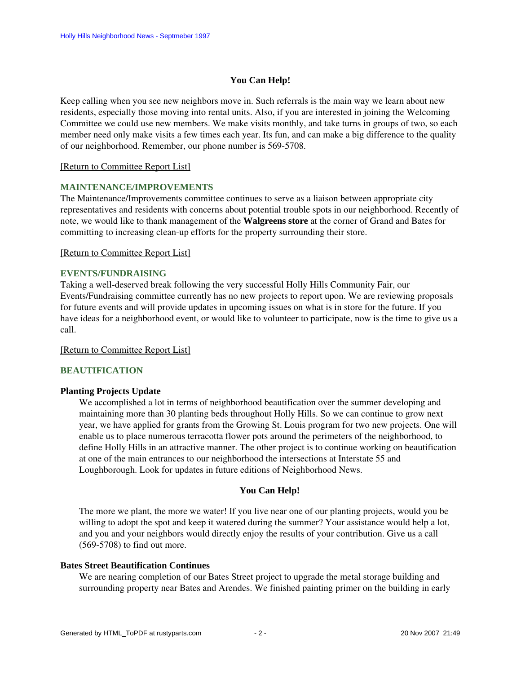### **You Can Help!**

Keep calling when you see new neighbors move in. Such referrals is the main way we learn about new residents, especially those moving into rental units. Also, if you are interested in joining the Welcoming Committee we could use new members. We make visits monthly, and take turns in groups of two, so each member need only make visits a few times each year. Its fun, and can make a big difference to the quality of our neighborhood. Remember, our phone number is 569-5708.

### [\[Return to Committee Report List\]](#page-0-4)

### <span id="page-1-0"></span>**MAINTENANCE/IMPROVEMENTS**

The Maintenance/Improvements committee continues to serve as a liaison between appropriate city representatives and residents with concerns about potential trouble spots in our neighborhood. Recently of note, we would like to thank management of the **Walgreens store** at the corner of Grand and Bates for committing to increasing clean-up efforts for the property surrounding their store.

### [\[Return to Committee Report List\]](#page-0-4)

### <span id="page-1-1"></span>**EVENTS/FUNDRAISING**

Taking a well-deserved break following the very successful Holly Hills Community Fair, our Events/Fundraising committee currently has no new projects to report upon. We are reviewing proposals for future events and will provide updates in upcoming issues on what is in store for the future. If you have ideas for a neighborhood event, or would like to volunteer to participate, now is the time to give us a call.

### [\[Return to Committee Report List\]](#page-0-4)

### <span id="page-1-2"></span>**BEAUTIFICATION**

### **Planting Projects Update**

We accomplished a lot in terms of neighborhood beautification over the summer developing and maintaining more than 30 planting beds throughout Holly Hills. So we can continue to grow next year, we have applied for grants from the Growing St. Louis program for two new projects. One will enable us to place numerous terracotta flower pots around the perimeters of the neighborhood, to define Holly Hills in an attractive manner. The other project is to continue working on beautification at one of the main entrances to our neighborhood the intersections at Interstate 55 and Loughborough. Look for updates in future editions of Neighborhood News.

### **You Can Help!**

The more we plant, the more we water! If you live near one of our planting projects, would you be willing to adopt the spot and keep it watered during the summer? Your assistance would help a lot, and you and your neighbors would directly enjoy the results of your contribution. Give us a call (569-5708) to find out more.

### **Bates Street Beautification Continues**

We are nearing completion of our Bates Street project to upgrade the metal storage building and surrounding property near Bates and Arendes. We finished painting primer on the building in early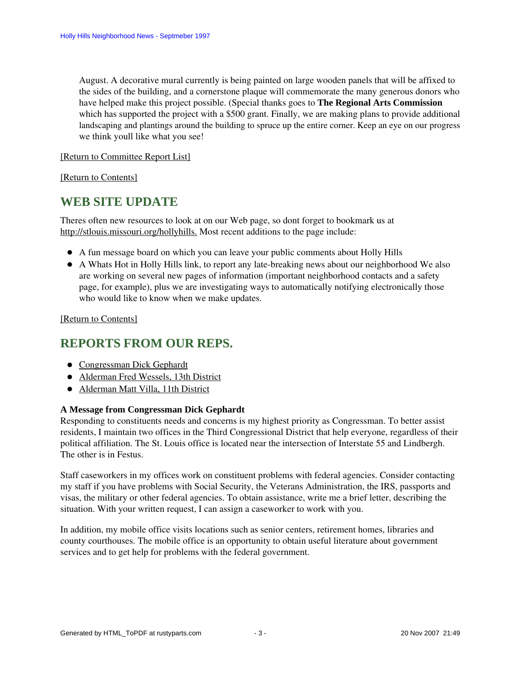August. A decorative mural currently is being painted on large wooden panels that will be affixed to the sides of the building, and a cornerstone plaque will commemorate the many generous donors who have helped make this project possible. (Special thanks goes to **The Regional Arts Commission** which has supported the project with a \$500 grant. Finally, we are making plans to provide additional landscaping and plantings around the building to spruce up the entire corner. Keep an eye on our progress we think youll like what you see!

### [\[Return to Committee Report List\]](#page-0-4)

<span id="page-2-0"></span>[\[Return to Contents\]](#page-0-2)

### **WEB SITE UPDATE**

Theres often new resources to look at on our Web page, so dont forget to bookmark us at [http://stlouis.missouri.org/hollyhills.](http://stlouis.missouri.org/hollyhills) Most recent additions to the page include:

- A fun message board on which you can leave your public comments about Holly Hills
- A Whats Hot in Holly Hills link, to report any late-breaking news about our neighborhood We also are working on several new pages of information (important neighborhood contacts and a safety page, for example), plus we are investigating ways to automatically notifying electronically those who would like to know when we make updates.

### [\[Return to Contents\]](#page-0-2)

### <span id="page-2-3"></span><span id="page-2-1"></span>**REPORTS FROM OUR REPS.**

- [Congressman Dick Gephardt](#page-2-2)
- [Alderman Fred Wessels, 13th District](#page-3-1)
- [Alderman Matt Villa, 11th District](#page-3-2)

### <span id="page-2-2"></span>**A Message from Congressman Dick Gephardt**

Responding to constituents needs and concerns is my highest priority as Congressman. To better assist residents, I maintain two offices in the Third Congressional District that help everyone, regardless of their political affiliation. The St. Louis office is located near the intersection of Interstate 55 and Lindbergh. The other is in Festus.

Staff caseworkers in my offices work on constituent problems with federal agencies. Consider contacting my staff if you have problems with Social Security, the Veterans Administration, the IRS, passports and visas, the military or other federal agencies. To obtain assistance, write me a brief letter, describing the situation. With your written request, I can assign a caseworker to work with you.

In addition, my mobile office visits locations such as senior centers, retirement homes, libraries and county courthouses. The mobile office is an opportunity to obtain useful literature about government services and to get help for problems with the federal government.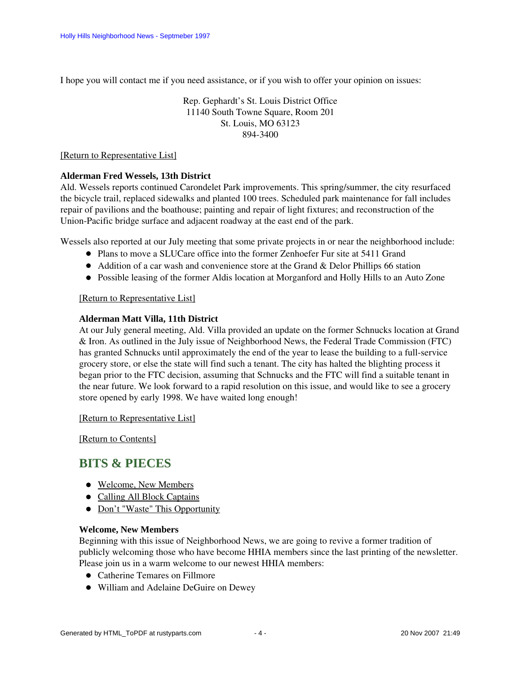I hope you will contact me if you need assistance, or if you wish to offer your opinion on issues:

Rep. Gephardt's St. Louis District Office 11140 South Towne Square, Room 201 St. Louis, MO 63123 894-3400

### [\[Return to Representative List\]](#page-2-3)

### <span id="page-3-1"></span>**Alderman Fred Wessels, 13th District**

Ald. Wessels reports continued Carondelet Park improvements. This spring/summer, the city resurfaced the bicycle trail, replaced sidewalks and planted 100 trees. Scheduled park maintenance for fall includes repair of pavilions and the boathouse; painting and repair of light fixtures; and reconstruction of the Union-Pacific bridge surface and adjacent roadway at the east end of the park.

Wessels also reported at our July meeting that some private projects in or near the neighborhood include:

- Plans to move a SLUCare office into the former Zenhoefer Fur site at 5411 Grand
- Addition of a car wash and convenience store at the Grand & Delor Phillips 66 station
- Possible leasing of the former Aldis location at Morganford and Holly Hills to an Auto Zone

### [\[Return to Representative List\]](#page-2-3)

### <span id="page-3-2"></span>**Alderman Matt Villa, 11th District**

At our July general meeting, Ald. Villa provided an update on the former Schnucks location at Grand & Iron. As outlined in the July issue of Neighborhood News, the Federal Trade Commission (FTC) has granted Schnucks until approximately the end of the year to lease the building to a full-service grocery store, or else the state will find such a tenant. The city has halted the blighting process it began prior to the FTC decision, assuming that Schnucks and the FTC will find a suitable tenant in the near future. We look forward to a rapid resolution on this issue, and would like to see a grocery store opened by early 1998. We have waited long enough!

[\[Return to Representative List\]](#page-2-3)

[\[Return to Contents\]](#page-0-2)

### <span id="page-3-4"></span><span id="page-3-0"></span>**BITS & PIECES**

- [Welcome, New Members](#page-3-3)
- [Calling All Block Captains](#page-4-0)
- [Don't "Waste" This Opportunity](#page-4-1)

### **Welcome, New Members**

<span id="page-3-3"></span>Beginning with this issue of Neighborhood News, we are going to revive a former tradition of publicly welcoming those who have become HHIA members since the last printing of the newsletter. Please join us in a warm welcome to our newest HHIA members:

- Catherine Temares on Fillmore
- William and Adelaine DeGuire on Dewey